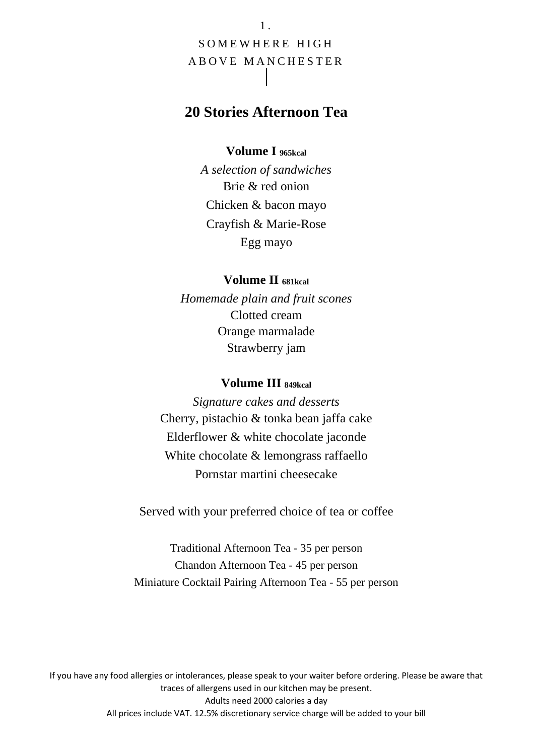1 . SOMEWHERE HIGH A B O V E M A N CHESTER

# **20 Stories Afternoon Tea**

#### **Volume I 965kcal**

*A selection of sandwiches* Brie & red onion Chicken & bacon mayo Crayfish & Marie-Rose Egg mayo

#### **Volume II 681kcal**

*Homemade plain and fruit scones* Clotted cream Orange marmalade Strawberry jam

#### **Volume III 849kcal**

*Signature cakes and desserts* Cherry, pistachio & tonka bean jaffa cake Elderflower & white chocolate jaconde White chocolate & lemongrass raffaello Pornstar martini cheesecake

Served with your preferred choice of tea or coffee

Traditional Afternoon Tea - 35 per person Chandon Afternoon Tea - 45 per person Miniature Cocktail Pairing Afternoon Tea - 55 per person

If you have any food allergies or intolerances, please speak to your waiter before ordering. Please be aware that traces of allergens used in our kitchen may be present. Adults need 2000 calories a day All prices include VAT. 12.5% discretionary service charge will be added to your bill